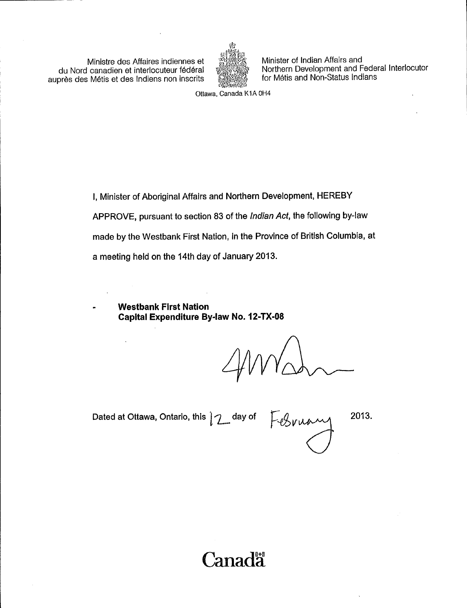Ministre des Affaires indiennes et du Nord canadien et interlocuteur fédéral auprès des Métis et des Indiens non inscrits



Minister of Indian Affairs and Northern Development and Federal Interlocutor for Métis and Non-Status Indians

Ottawa, Canada K1A 0H4

I, Minister of Aboriginal Affairs and Northern Development, HEREBY APPROVE, pursuant to section 83 of the Indian Act, the following by-law made by the Westbank First Nation, in the Province of British Columbia, at a meeting held on the 14th day of January 2013.

Westbank First Nation Capital Expenditure By -law No. 12 -TX -08

Dated at Ottawa, Ontario, this  $\vert\mathcal{I}\vert$  day of  $\quad\vert\mathcal{A}\vert$ 2013.

**Canada**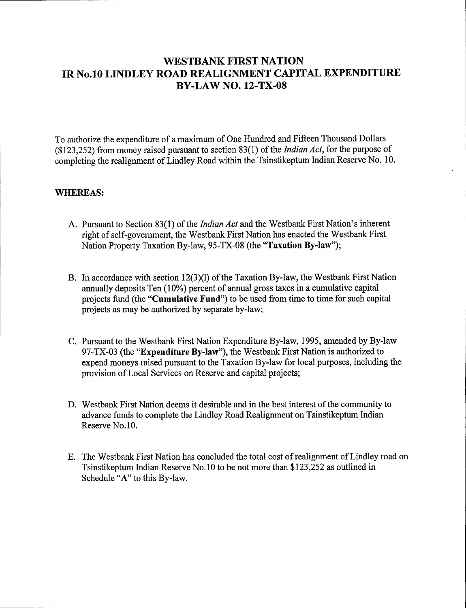### WESTBANK FIRST NATION IR No.10 LINDLEY ROAD REALIGNMENT CAPITAL EXPENDITURE BY -LAW NO. 12- TX-08

To authorize the expenditure of a maximum of One Hundred and Fifteen Thousand Dollars  $(123, 252)$  from money raised pursuant to section 83(1) of the *Indian Act*, for the purpose of completing the realignment of Lindley Road within the Tsinstikeptum Indian Reserve No. 10.

### WHEREAS:

- A. Pursuant to Section 83(1) of the *Indian Act* and the Westbank First Nation's inherent right of self-government, the Westbank First Nation has enacted the Westbank First Nation Property Taxation By-law, 95-TX-08 (the "Taxation By-law");
- B. In accordance with section 12(3)(1) of the Taxation By-law, the Westbank First Nation annually deposits Ten (10%) percent of annual gross taxes in a cumulative capital projects fund (the "Cumulative Fund") to be used from time to time for such capital projects as may be authorized by separate by -law;
- C. Pursuant to the Westbank First Nation Expenditure By -law, 1995, amended by By -law 97-TX-03 (the "Expenditure By-law"), the Westbank First Nation is authorized to expend moneys raised pursuant to the Taxation By-law for local purposes, including the provision of Local Services on Reserve and capital projects;
- D. Westbank First Nation deems it desirable and in the best interest of the community to advance funds to complete the Lindley Road Realignment on Tsinstikeptum Indian Reserve No.10.
- E. The Westbank First Nation has concluded the total cost ofrealignment of Lindley road on Tsinstikeptum Indian Reserve No. 10 to be not more than \$123, 252 as outlined in Schedule "A" to this By-law.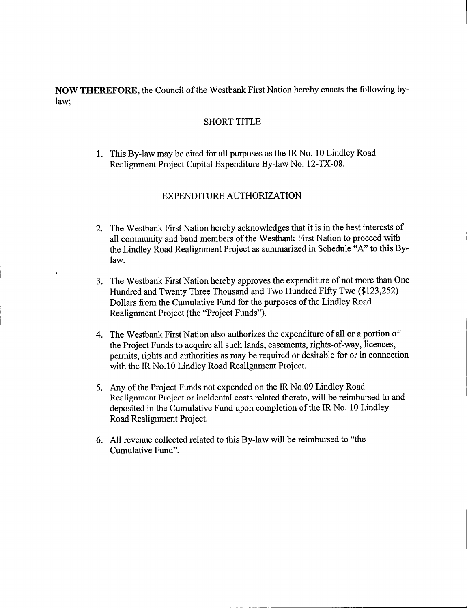NOW THEREFORE, the Council of the Westbank First Nation hereby enacts the following bylaw;

### SHORT TITLE

1. This By -law may be cited for all purposes as the IR No. 10 Lindley Road Realignment Project Capital Expenditure By-law No. 12-TX-08.

### EXPENDITURE AUTHORIZATION

- 2. The Westbank First Nation hereby acknowledges that it is in the best interests of all community and band members of the Westbank First Nation to proceed with the Lindley Road Realignment Project as summarized in Schedule " A" to this Bylaw.
- 3. The Westbank First Nation hereby approves the expenditure of not more than One Hundred and Twenty Three Thousand and Two Hundred Fifty Two (\$123,252) Dollars from the Cumulative Fund for the purposes of the Lindley Road Realignment Project (the "Project Funds").
- 4. The Westbank First Nation also authorizes the expenditure of all or <sup>a</sup> portion of the Project Funds to acquire all such lands, easements, rights-of-way, licences, permits, rights and authorities as may be required or desirable for or in connection with the IR No. 10 Lindley Road Realignment Project.
- 5. Any of the Project Funds not expended on the IR No.09 Lindley Road Realignment Project or incidental costs related thereto, will be reimbursed to and deposited in the Cumulative Fund upon completion of the IR No. 10 Lindley Road Realignment Project.
- 6. All revenue collected related to this By -law will be reimbursed to "the Cumulative Fund".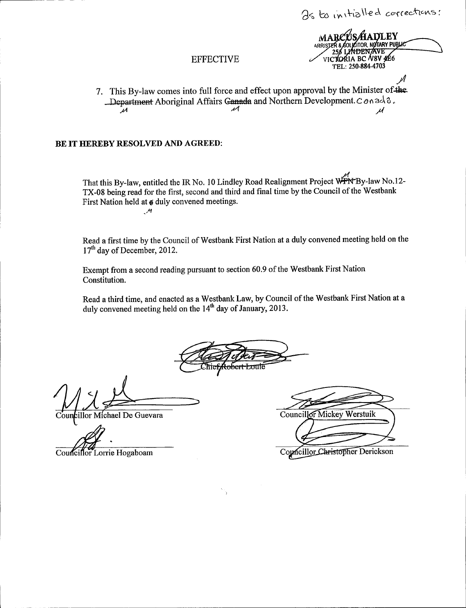<del>nen ave</del> koria bc /v8v 4é6

TEL: 250-884-4703

### **EFFECTIVE**

7. This By-law comes into full force and effect upon approval by the Minister of the Department Aboriginal Affairs Ganada and Northern Development. Conade.  $\mathcal{M}$  $\boldsymbol{\mathcal{M}}$  $\overline{\mathcal{M}}$ 

### BE IT HEREBY RESOLVED AND AGREED:

 $\mathcal{M}$ 

That this By-law, entitled the IR No. 10 Lindley Road Realignment Project WHN By-law No.12-TX-08 being read for the first, second and third and final time by the Council of the Westbank First Nation held at a duly convened meetings.

Read a first time by the Council of Westbank First Nation at a duly convened meeting held on the 17<sup>th</sup> day of December, 2012.

Exempt from a second reading pursuant to section 60.9 of the Westbank First Nation Constitution.

Read a third time, and enacted as a Westbank Law, by Council of the Westbank First Nation at a duly convened meeting held on the  $14<sup>th</sup>$  day of January, 2013.

llor Michael De Guevara

Councillor Lorrie Hogaboam

Councillor Mickey Werstuik

Councillor Christopher Derickson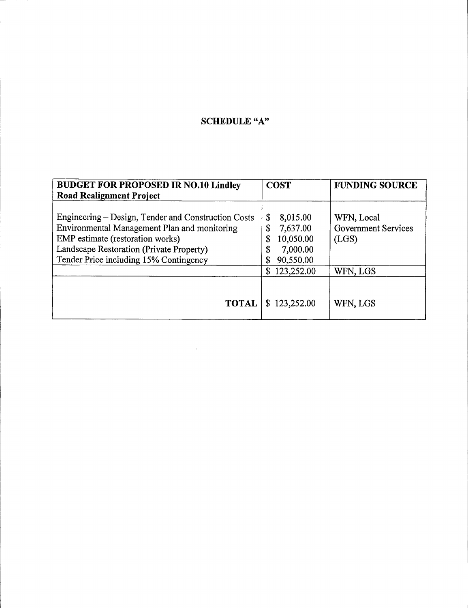# SCHEDULE "A"

| <b>BUDGET FOR PROPOSED IR NO.10 Lindley</b>                                                                                                                                                                                   | <b>COST</b>                                                           | <b>FUNDING SOURCE</b>                             |
|-------------------------------------------------------------------------------------------------------------------------------------------------------------------------------------------------------------------------------|-----------------------------------------------------------------------|---------------------------------------------------|
| <b>Road Realignment Project</b>                                                                                                                                                                                               |                                                                       |                                                   |
| Engineering – Design, Tender and Construction Costs<br>Environmental Management Plan and monitoring<br>EMP estimate (restoration works)<br>Landscape Restoration (Private Property)<br>Tender Price including 15% Contingency | 8,015.00<br>\$<br>7,637.00<br>10,050.00<br>7,000.00<br>Ф<br>90,550.00 | WFN, Local<br><b>Government Services</b><br>(LGS) |
|                                                                                                                                                                                                                               | 123,252.00                                                            | WFN, LGS                                          |
| <b>TOTAL</b>                                                                                                                                                                                                                  | \$123,252.00                                                          | WFN, LGS                                          |

 $\sim$